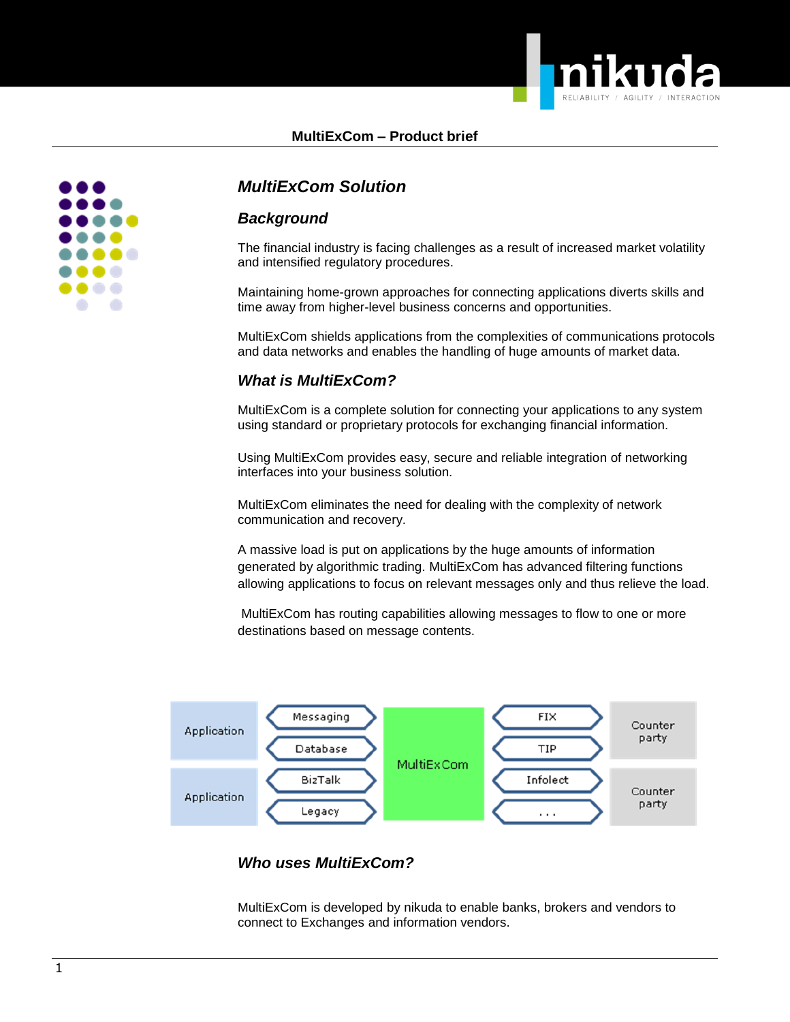



# *MultiExCom Solution*

## *Background*

The financial industry is facing challenges as a result of increased market volatility and intensified regulatory procedures.

Maintaining home-grown approaches for connecting applications diverts skills and time away from higher-level business concerns and opportunities.

MultiExCom shields applications from the complexities of communications protocols and data networks and enables the handling of huge amounts of market data.

## *What is MultiExCom?*

MultiExCom is a complete solution for connecting your applications to any system using standard or proprietary protocols for exchanging financial information.

Using MultiExCom provides easy, secure and reliable integration of networking interfaces into your business solution.

MultiExCom eliminates the need for dealing with the complexity of network communication and recovery.

A massive load is put on applications by the huge amounts of information generated by algorithmic trading. MultiExCom has advanced filtering functions allowing applications to focus on relevant messages only and thus relieve the load.

MultiExCom has routing capabilities allowing messages to flow to one or more destinations based on message contents.



## *Who uses MultiExCom?*

MultiExCom is developed by nikuda to enable banks, brokers and vendors to connect to Exchanges and information vendors.